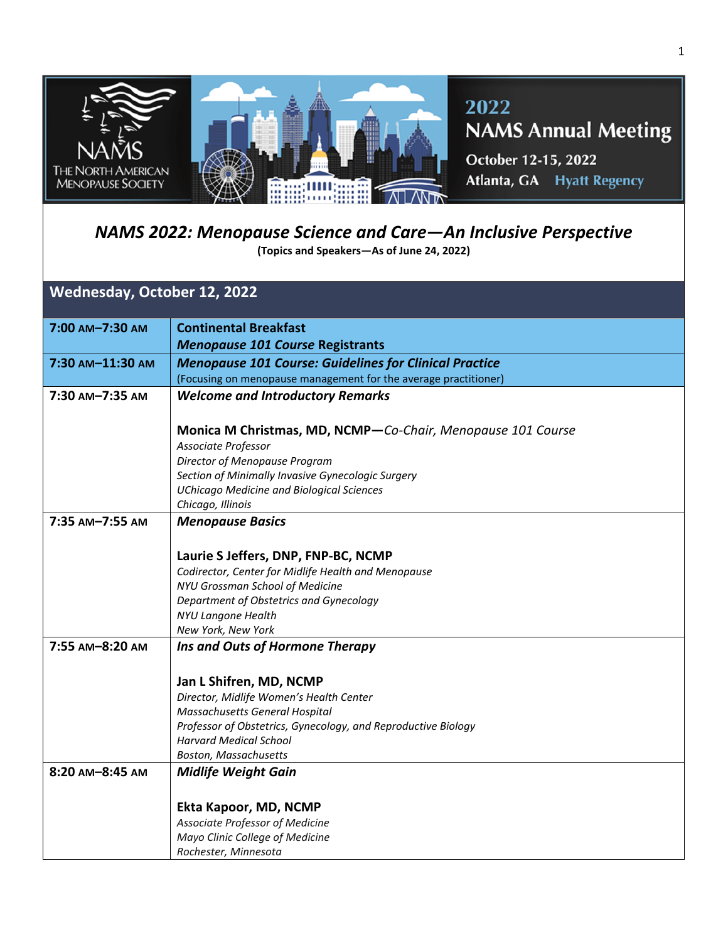

## *NAMS 2022: Menopause Science and Care—An Inclusive Perspective*

**(Topics and Speakers—As of June 24, 2022)** 

## **Wednesday, October 12, 2022**

| 7:00 AM-7:30 AM  | <b>Continental Breakfast</b>                                    |
|------------------|-----------------------------------------------------------------|
|                  | <b>Menopause 101 Course Registrants</b>                         |
| 7:30 AM-11:30 AM | <b>Menopause 101 Course: Guidelines for Clinical Practice</b>   |
|                  | (Focusing on menopause management for the average practitioner) |
| 7:30 AM-7:35 AM  | <b>Welcome and Introductory Remarks</b>                         |
|                  |                                                                 |
|                  | Monica M Christmas, MD, NCMP-Co-Chair, Menopause 101 Course     |
|                  | Associate Professor                                             |
|                  | Director of Menopause Program                                   |
|                  | Section of Minimally Invasive Gynecologic Surgery               |
|                  | <b>UChicago Medicine and Biological Sciences</b>                |
|                  | Chicago, Illinois                                               |
| 7:35 AM-7:55 AM  | <b>Menopause Basics</b>                                         |
|                  |                                                                 |
|                  | Laurie S Jeffers, DNP, FNP-BC, NCMP                             |
|                  | Codirector, Center for Midlife Health and Menopause             |
|                  | NYU Grossman School of Medicine                                 |
|                  | Department of Obstetrics and Gynecology                         |
|                  | NYU Langone Health                                              |
|                  | New York, New York                                              |
| 7:55 AM-8:20 AM  | Ins and Outs of Hormone Therapy                                 |
|                  |                                                                 |
|                  | Jan L Shifren, MD, NCMP                                         |
|                  | Director, Midlife Women's Health Center                         |
|                  | Massachusetts General Hospital                                  |
|                  | Professor of Obstetrics, Gynecology, and Reproductive Biology   |
|                  | <b>Harvard Medical School</b>                                   |
|                  | <b>Boston, Massachusetts</b>                                    |
| 8:20 AM-8:45 AM  | <b>Midlife Weight Gain</b>                                      |
|                  |                                                                 |
|                  | Ekta Kapoor, MD, NCMP                                           |
|                  | Associate Professor of Medicine                                 |
|                  | Mayo Clinic College of Medicine                                 |
|                  | Rochester, Minnesota                                            |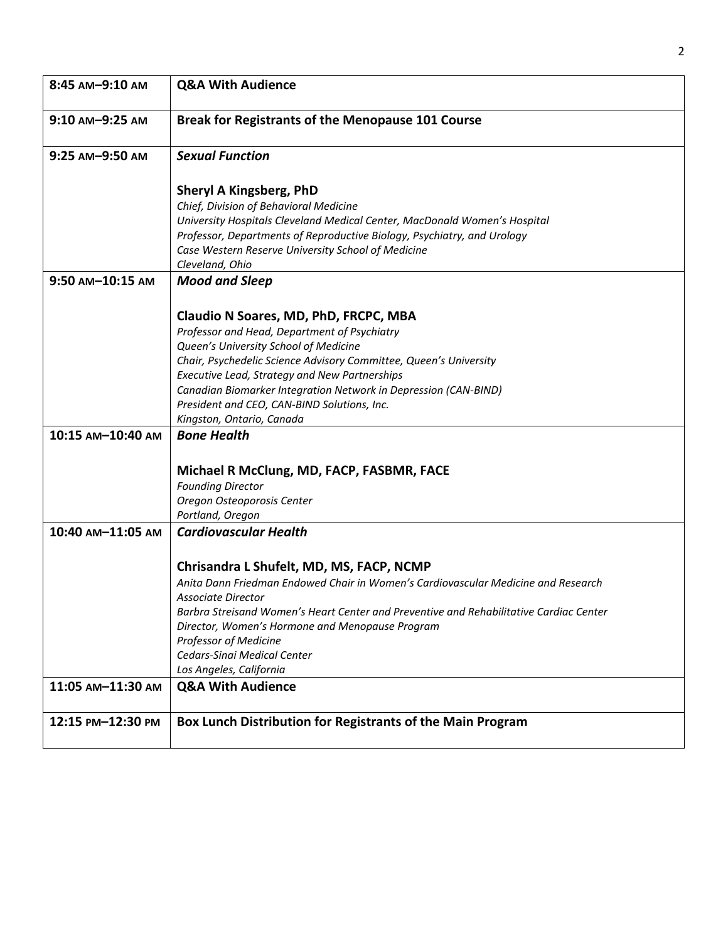| 8:45 AM-9:10 AM   | <b>Q&amp;A With Audience</b>                                                                                                                                                                                                                                                                                                                                                                        |
|-------------------|-----------------------------------------------------------------------------------------------------------------------------------------------------------------------------------------------------------------------------------------------------------------------------------------------------------------------------------------------------------------------------------------------------|
| 9:10 AM-9:25 AM   | Break for Registrants of the Menopause 101 Course                                                                                                                                                                                                                                                                                                                                                   |
| 9:25 AM-9:50 AM   | <b>Sexual Function</b>                                                                                                                                                                                                                                                                                                                                                                              |
|                   | <b>Sheryl A Kingsberg, PhD</b><br>Chief, Division of Behavioral Medicine<br>University Hospitals Cleveland Medical Center, MacDonald Women's Hospital<br>Professor, Departments of Reproductive Biology, Psychiatry, and Urology<br>Case Western Reserve University School of Medicine<br>Cleveland, Ohio                                                                                           |
| 9:50 AM-10:15 AM  | <b>Mood and Sleep</b>                                                                                                                                                                                                                                                                                                                                                                               |
|                   | Claudio N Soares, MD, PhD, FRCPC, MBA<br>Professor and Head, Department of Psychiatry<br>Queen's University School of Medicine<br>Chair, Psychedelic Science Advisory Committee, Queen's University<br>Executive Lead, Strategy and New Partnerships<br>Canadian Biomarker Integration Network in Depression (CAN-BIND)<br>President and CEO, CAN-BIND Solutions, Inc.<br>Kingston, Ontario, Canada |
| 10:15 AM-10:40 AM | <b>Bone Health</b>                                                                                                                                                                                                                                                                                                                                                                                  |
|                   | Michael R McClung, MD, FACP, FASBMR, FACE<br><b>Founding Director</b><br>Oregon Osteoporosis Center<br>Portland, Oregon                                                                                                                                                                                                                                                                             |
| 10:40 AM-11:05 AM | <b>Cardiovascular Health</b>                                                                                                                                                                                                                                                                                                                                                                        |
|                   | Chrisandra L Shufelt, MD, MS, FACP, NCMP<br>Anita Dann Friedman Endowed Chair in Women's Cardiovascular Medicine and Research<br>Associate Director<br>Barbra Streisand Women's Heart Center and Preventive and Rehabilitative Cardiac Center<br>Director, Women's Hormone and Menopause Program<br>Professor of Medicine<br>Cedars-Sinai Medical Center<br>Los Angeles, California                 |
| 11:05 AM-11:30 AM | <b>Q&amp;A With Audience</b>                                                                                                                                                                                                                                                                                                                                                                        |
| 12:15 PM-12:30 PM | Box Lunch Distribution for Registrants of the Main Program                                                                                                                                                                                                                                                                                                                                          |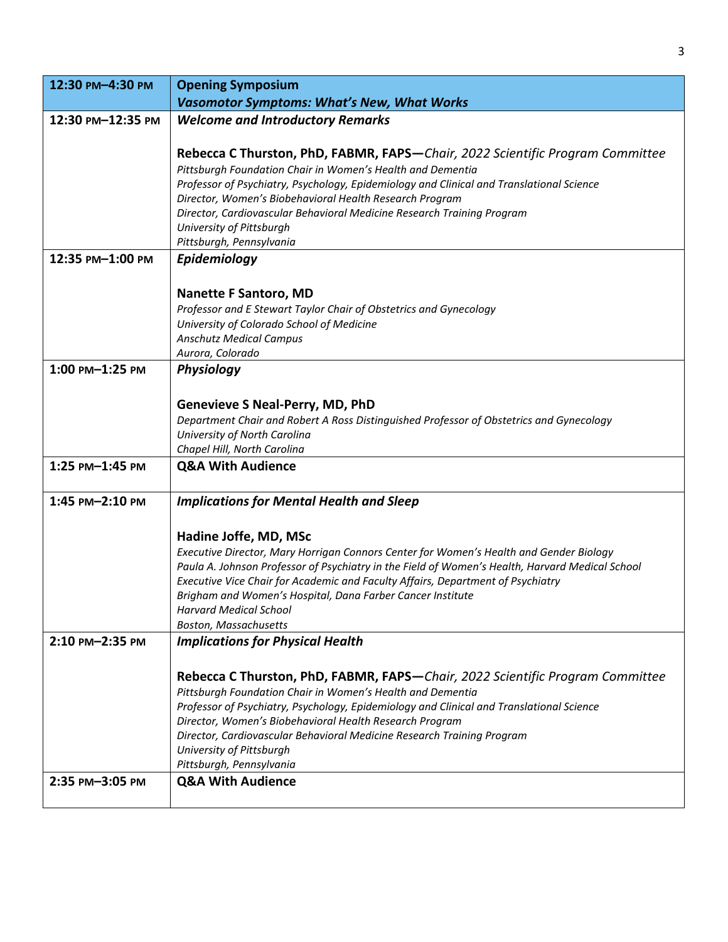| 12:30 PM-4:30 PM  | <b>Opening Symposium</b>                                                                                                                               |
|-------------------|--------------------------------------------------------------------------------------------------------------------------------------------------------|
|                   | <b>Vasomotor Symptoms: What's New, What Works</b>                                                                                                      |
| 12:30 PM-12:35 PM | <b>Welcome and Introductory Remarks</b>                                                                                                                |
|                   |                                                                                                                                                        |
|                   | Rebecca C Thurston, PhD, FABMR, FAPS-Chair, 2022 Scientific Program Committee                                                                          |
|                   | Pittsburgh Foundation Chair in Women's Health and Dementia<br>Professor of Psychiatry, Psychology, Epidemiology and Clinical and Translational Science |
|                   | Director, Women's Biobehavioral Health Research Program                                                                                                |
|                   | Director, Cardiovascular Behavioral Medicine Research Training Program                                                                                 |
|                   | University of Pittsburgh                                                                                                                               |
|                   | Pittsburgh, Pennsylvania                                                                                                                               |
| 12:35 PM-1:00 PM  | Epidemiology                                                                                                                                           |
|                   |                                                                                                                                                        |
|                   | <b>Nanette F Santoro, MD</b><br>Professor and E Stewart Taylor Chair of Obstetrics and Gynecology                                                      |
|                   | University of Colorado School of Medicine                                                                                                              |
|                   | <b>Anschutz Medical Campus</b>                                                                                                                         |
|                   | Aurora, Colorado                                                                                                                                       |
| 1:00 PM-1:25 PM   | Physiology                                                                                                                                             |
|                   |                                                                                                                                                        |
|                   | <b>Genevieve S Neal-Perry, MD, PhD</b>                                                                                                                 |
|                   | Department Chair and Robert A Ross Distinguished Professor of Obstetrics and Gynecology                                                                |
|                   | University of North Carolina<br>Chapel Hill, North Carolina                                                                                            |
| 1:25 PM-1:45 PM   | <b>Q&amp;A With Audience</b>                                                                                                                           |
|                   |                                                                                                                                                        |
| 1:45 PM-2:10 PM   | <b>Implications for Mental Health and Sleep</b>                                                                                                        |
|                   |                                                                                                                                                        |
|                   | Hadine Joffe, MD, MSc                                                                                                                                  |
|                   | Executive Director, Mary Horrigan Connors Center for Women's Health and Gender Biology                                                                 |
|                   | Paula A. Johnson Professor of Psychiatry in the Field of Women's Health, Harvard Medical School                                                        |
|                   | Executive Vice Chair for Academic and Faculty Affairs, Department of Psychiatry<br>Brigham and Women's Hospital, Dana Farber Cancer Institute          |
|                   | Harvard Medical School                                                                                                                                 |
|                   | <b>Boston, Massachusetts</b>                                                                                                                           |
| 2:10 PM-2:35 PM   | <b>Implications for Physical Health</b>                                                                                                                |
|                   |                                                                                                                                                        |
|                   | Rebecca C Thurston, PhD, FABMR, FAPS-Chair, 2022 Scientific Program Committee                                                                          |
|                   | Pittsburgh Foundation Chair in Women's Health and Dementia                                                                                             |
|                   | Professor of Psychiatry, Psychology, Epidemiology and Clinical and Translational Science<br>Director, Women's Biobehavioral Health Research Program    |
|                   | Director, Cardiovascular Behavioral Medicine Research Training Program                                                                                 |
|                   | University of Pittsburgh                                                                                                                               |
|                   | Pittsburgh, Pennsylvania                                                                                                                               |
| 2:35 PM-3:05 PM   | <b>Q&amp;A With Audience</b>                                                                                                                           |
|                   |                                                                                                                                                        |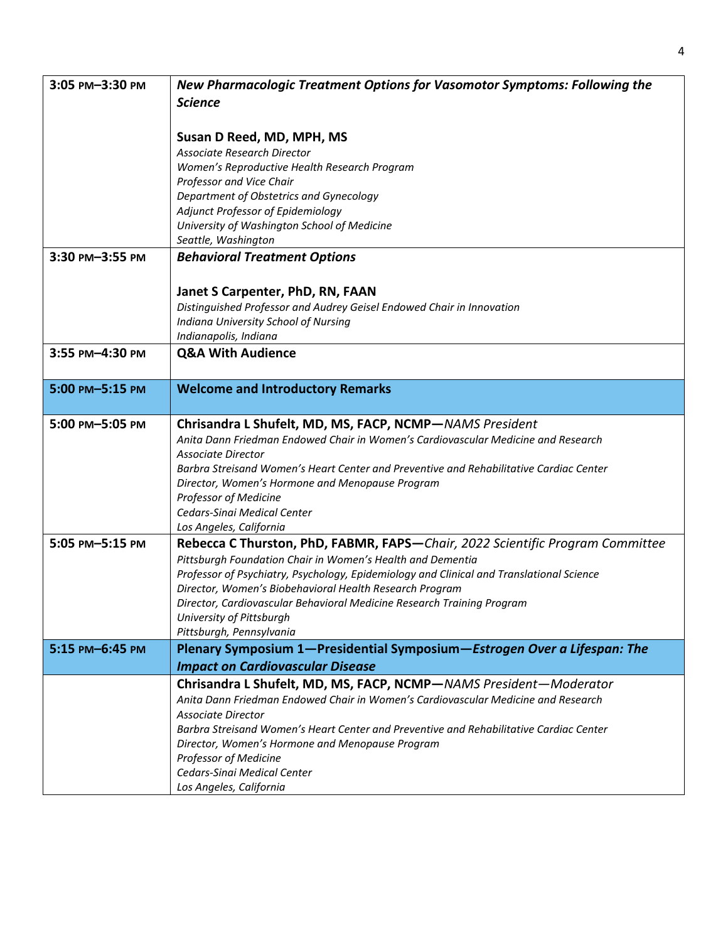| 3:05 PM-3:30 PM | New Pharmacologic Treatment Options for Vasomotor Symptoms: Following the                                                                    |
|-----------------|----------------------------------------------------------------------------------------------------------------------------------------------|
|                 | <b>Science</b>                                                                                                                               |
|                 |                                                                                                                                              |
|                 | Susan D Reed, MD, MPH, MS                                                                                                                    |
|                 | Associate Research Director                                                                                                                  |
|                 | Women's Reproductive Health Research Program                                                                                                 |
|                 | Professor and Vice Chair                                                                                                                     |
|                 | Department of Obstetrics and Gynecology                                                                                                      |
|                 | Adjunct Professor of Epidemiology                                                                                                            |
|                 | University of Washington School of Medicine                                                                                                  |
| 3:30 PM-3:55 PM | Seattle, Washington                                                                                                                          |
|                 | <b>Behavioral Treatment Options</b>                                                                                                          |
|                 |                                                                                                                                              |
|                 | Janet S Carpenter, PhD, RN, FAAN                                                                                                             |
|                 | Distinguished Professor and Audrey Geisel Endowed Chair in Innovation                                                                        |
|                 | Indiana University School of Nursing<br>Indianapolis, Indiana                                                                                |
| 3:55 PM-4:30 PM | <b>Q&amp;A With Audience</b>                                                                                                                 |
|                 |                                                                                                                                              |
| 5:00 PM-5:15 PM | <b>Welcome and Introductory Remarks</b>                                                                                                      |
|                 |                                                                                                                                              |
| 5:00 PM-5:05 PM |                                                                                                                                              |
|                 | Chrisandra L Shufelt, MD, MS, FACP, NCMP-NAMS President<br>Anita Dann Friedman Endowed Chair in Women's Cardiovascular Medicine and Research |
|                 | <b>Associate Director</b>                                                                                                                    |
|                 | Barbra Streisand Women's Heart Center and Preventive and Rehabilitative Cardiac Center                                                       |
|                 | Director, Women's Hormone and Menopause Program                                                                                              |
|                 | Professor of Medicine                                                                                                                        |
|                 | Cedars-Sinai Medical Center                                                                                                                  |
|                 | Los Angeles, California                                                                                                                      |
| 5:05 PM-5:15 PM | Rebecca C Thurston, PhD, FABMR, FAPS-Chair, 2022 Scientific Program Committee                                                                |
|                 | Pittsburgh Foundation Chair in Women's Health and Dementia                                                                                   |
|                 | Professor of Psychiatry, Psychology, Epidemiology and Clinical and Translational Science                                                     |
|                 | Director, Women's Biobehavioral Health Research Program                                                                                      |
|                 | Director, Cardiovascular Behavioral Medicine Research Training Program<br>University of Pittsburgh                                           |
|                 | Pittsburgh, Pennsylvania                                                                                                                     |
| 5:15 PM-6:45 PM | Plenary Symposium 1-Presidential Symposium-Estrogen Over a Lifespan: The                                                                     |
|                 | <b>Impact on Cardiovascular Disease</b>                                                                                                      |
|                 | Chrisandra L Shufelt, MD, MS, FACP, NCMP-NAMS President-Moderator                                                                            |
|                 | Anita Dann Friedman Endowed Chair in Women's Cardiovascular Medicine and Research                                                            |
|                 | <b>Associate Director</b>                                                                                                                    |
|                 | Barbra Streisand Women's Heart Center and Preventive and Rehabilitative Cardiac Center                                                       |
|                 | Director, Women's Hormone and Menopause Program                                                                                              |
|                 | Professor of Medicine                                                                                                                        |
|                 | Cedars-Sinai Medical Center                                                                                                                  |
|                 | Los Angeles, California                                                                                                                      |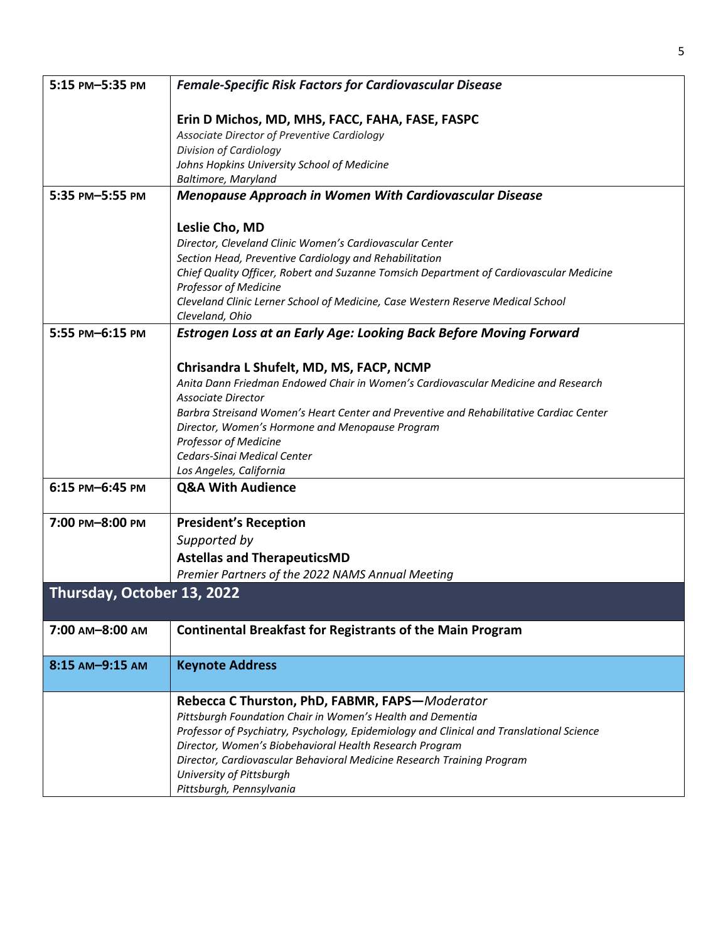| 5:15 PM-5:35 PM            | <b>Female-Specific Risk Factors for Cardiovascular Disease</b>                           |
|----------------------------|------------------------------------------------------------------------------------------|
|                            | Erin D Michos, MD, MHS, FACC, FAHA, FASE, FASPC                                          |
|                            | Associate Director of Preventive Cardiology                                              |
|                            | Division of Cardiology                                                                   |
|                            | Johns Hopkins University School of Medicine                                              |
|                            | Baltimore, Maryland                                                                      |
| 5:35 PM-5:55 PM            | <b>Menopause Approach in Women With Cardiovascular Disease</b>                           |
|                            |                                                                                          |
|                            | Leslie Cho, MD                                                                           |
|                            | Director, Cleveland Clinic Women's Cardiovascular Center                                 |
|                            | Section Head, Preventive Cardiology and Rehabilitation                                   |
|                            | Chief Quality Officer, Robert and Suzanne Tomsich Department of Cardiovascular Medicine  |
|                            | Professor of Medicine                                                                    |
|                            | Cleveland Clinic Lerner School of Medicine, Case Western Reserve Medical School          |
|                            | Cleveland, Ohio                                                                          |
| 5:55 PM-6:15 PM            | Estrogen Loss at an Early Age: Looking Back Before Moving Forward                        |
|                            |                                                                                          |
|                            | Chrisandra L Shufelt, MD, MS, FACP, NCMP                                                 |
|                            | Anita Dann Friedman Endowed Chair in Women's Cardiovascular Medicine and Research        |
|                            | <b>Associate Director</b>                                                                |
|                            | Barbra Streisand Women's Heart Center and Preventive and Rehabilitative Cardiac Center   |
|                            | Director, Women's Hormone and Menopause Program                                          |
|                            | <b>Professor of Medicine</b>                                                             |
|                            | Cedars-Sinai Medical Center                                                              |
|                            | Los Angeles, California                                                                  |
| 6:15 PM-6:45 PM            | <b>Q&amp;A With Audience</b>                                                             |
|                            |                                                                                          |
| 7:00 PM-8:00 PM            | <b>President's Reception</b>                                                             |
|                            | Supported by                                                                             |
|                            | <b>Astellas and TherapeuticsMD</b>                                                       |
|                            | Premier Partners of the 2022 NAMS Annual Meeting                                         |
| Thursday, October 13, 2022 |                                                                                          |
|                            |                                                                                          |
| 7:00 AM-8:00 AM            | <b>Continental Breakfast for Registrants of the Main Program</b>                         |
| 8:15 AM-9:15 AM            | <b>Keynote Address</b>                                                                   |
|                            |                                                                                          |
|                            | Rebecca C Thurston, PhD, FABMR, FAPS-Moderator                                           |
|                            | Pittsburgh Foundation Chair in Women's Health and Dementia                               |
|                            | Professor of Psychiatry, Psychology, Epidemiology and Clinical and Translational Science |
|                            | Director, Women's Biobehavioral Health Research Program                                  |
|                            | Director, Cardiovascular Behavioral Medicine Research Training Program                   |
|                            | University of Pittsburgh                                                                 |
|                            | Pittsburgh, Pennsylvania                                                                 |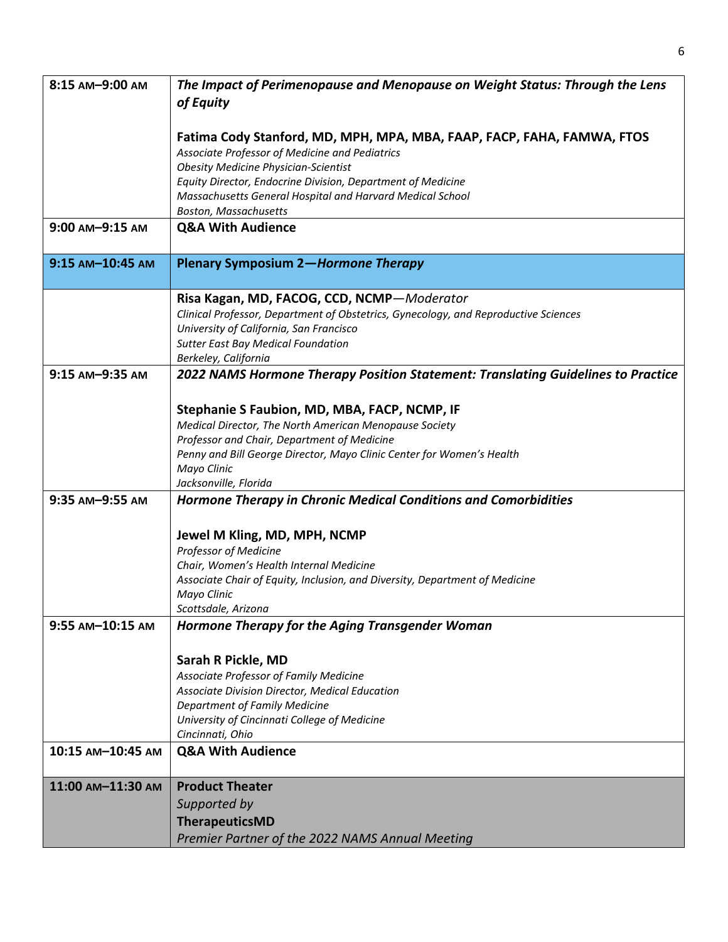| 8:15 AM-9:00 AM   | The Impact of Perimenopause and Menopause on Weight Status: Through the Lens        |
|-------------------|-------------------------------------------------------------------------------------|
|                   | of Equity                                                                           |
|                   | Fatima Cody Stanford, MD, MPH, MPA, MBA, FAAP, FACP, FAHA, FAMWA, FTOS              |
|                   | Associate Professor of Medicine and Pediatrics                                      |
|                   | <b>Obesity Medicine Physician-Scientist</b>                                         |
|                   | Equity Director, Endocrine Division, Department of Medicine                         |
|                   | Massachusetts General Hospital and Harvard Medical School                           |
|                   | <b>Boston, Massachusetts</b>                                                        |
| 9:00 AM-9:15 AM   | <b>Q&amp;A With Audience</b>                                                        |
| 9:15 AM-10:45 AM  | <b>Plenary Symposium 2-Hormone Therapy</b>                                          |
|                   | Risa Kagan, MD, FACOG, CCD, NCMP-Moderator                                          |
|                   | Clinical Professor, Department of Obstetrics, Gynecology, and Reproductive Sciences |
|                   | University of California, San Francisco                                             |
|                   | <b>Sutter East Bay Medical Foundation</b><br>Berkeley, California                   |
| 9:15 AM-9:35 AM   | 2022 NAMS Hormone Therapy Position Statement: Translating Guidelines to Practice    |
|                   |                                                                                     |
|                   | Stephanie S Faubion, MD, MBA, FACP, NCMP, IF                                        |
|                   | Medical Director, The North American Menopause Society                              |
|                   | Professor and Chair, Department of Medicine                                         |
|                   | Penny and Bill George Director, Mayo Clinic Center for Women's Health               |
|                   | Mayo Clinic                                                                         |
|                   | Jacksonville, Florida                                                               |
| 9:35 AM-9:55 AM   | Hormone Therapy in Chronic Medical Conditions and Comorbidities                     |
|                   | Jewel M Kling, MD, MPH, NCMP                                                        |
|                   | Professor of Medicine                                                               |
|                   | Chair, Women's Health Internal Medicine                                             |
|                   | Associate Chair of Equity, Inclusion, and Diversity, Department of Medicine         |
|                   | Mayo Clinic                                                                         |
| 9:55 AM-10:15 AM  | Scottsdale, Arizona<br>Hormone Therapy for the Aging Transgender Woman              |
|                   |                                                                                     |
|                   | Sarah R Pickle, MD                                                                  |
|                   | Associate Professor of Family Medicine                                              |
|                   | Associate Division Director, Medical Education                                      |
|                   | Department of Family Medicine                                                       |
|                   | University of Cincinnati College of Medicine<br>Cincinnati, Ohio                    |
| 10:15 AM-10:45 AM | <b>Q&amp;A With Audience</b>                                                        |
|                   |                                                                                     |
| 11:00 AM-11:30 AM | <b>Product Theater</b>                                                              |
|                   | Supported by                                                                        |
|                   | <b>TherapeuticsMD</b>                                                               |
|                   | Premier Partner of the 2022 NAMS Annual Meeting                                     |

6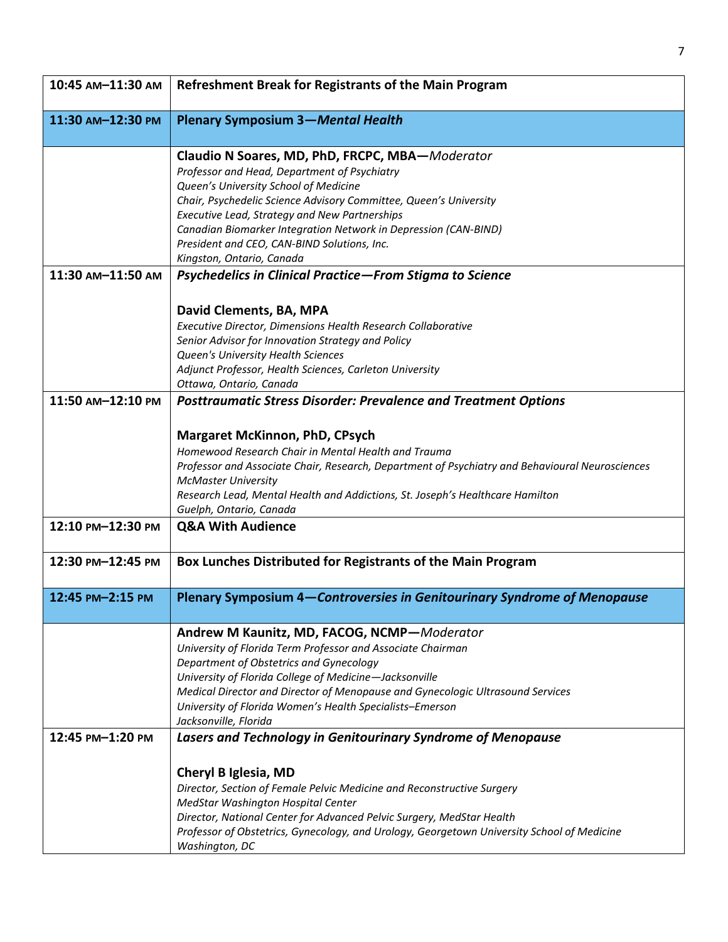| 10:45 AM-11:30 AM | <b>Refreshment Break for Registrants of the Main Program</b>                                                                                                                                                                                                                                                                                                                                                  |
|-------------------|---------------------------------------------------------------------------------------------------------------------------------------------------------------------------------------------------------------------------------------------------------------------------------------------------------------------------------------------------------------------------------------------------------------|
| 11:30 AM-12:30 PM | <b>Plenary Symposium 3-Mental Health</b>                                                                                                                                                                                                                                                                                                                                                                      |
|                   | Claudio N Soares, MD, PhD, FRCPC, MBA-Moderator<br>Professor and Head, Department of Psychiatry<br>Queen's University School of Medicine<br>Chair, Psychedelic Science Advisory Committee, Queen's University<br>Executive Lead, Strategy and New Partnerships<br>Canadian Biomarker Integration Network in Depression (CAN-BIND)<br>President and CEO, CAN-BIND Solutions, Inc.<br>Kingston, Ontario, Canada |
| 11:30 AM-11:50 AM | Psychedelics in Clinical Practice-From Stigma to Science                                                                                                                                                                                                                                                                                                                                                      |
|                   | David Clements, BA, MPA<br>Executive Director, Dimensions Health Research Collaborative<br>Senior Advisor for Innovation Strategy and Policy<br>Queen's University Health Sciences<br>Adjunct Professor, Health Sciences, Carleton University<br>Ottawa, Ontario, Canada                                                                                                                                      |
| 11:50 AM-12:10 PM | <b>Posttraumatic Stress Disorder: Prevalence and Treatment Options</b>                                                                                                                                                                                                                                                                                                                                        |
| 12:10 PM-12:30 PM | <b>Margaret McKinnon, PhD, CPsych</b><br>Homewood Research Chair in Mental Health and Trauma<br>Professor and Associate Chair, Research, Department of Psychiatry and Behavioural Neurosciences<br><b>McMaster University</b><br>Research Lead, Mental Health and Addictions, St. Joseph's Healthcare Hamilton<br>Guelph, Ontario, Canada<br><b>Q&amp;A With Audience</b>                                     |
| 12:30 PM-12:45 PM | Box Lunches Distributed for Registrants of the Main Program                                                                                                                                                                                                                                                                                                                                                   |
| 12:45 PM-2:15 PM  | Plenary Symposium 4-Controversies in Genitourinary Syndrome of Menopause                                                                                                                                                                                                                                                                                                                                      |
|                   | Andrew M Kaunitz, MD, FACOG, NCMP-Moderator<br>University of Florida Term Professor and Associate Chairman<br>Department of Obstetrics and Gynecology<br>University of Florida College of Medicine-Jacksonville<br>Medical Director and Director of Menopause and Gynecologic Ultrasound Services<br>University of Florida Women's Health Specialists-Emerson<br>Jacksonville, Florida                        |
| 12:45 PM-1:20 PM  | Lasers and Technology in Genitourinary Syndrome of Menopause                                                                                                                                                                                                                                                                                                                                                  |
|                   | Cheryl B Iglesia, MD<br>Director, Section of Female Pelvic Medicine and Reconstructive Surgery<br>MedStar Washington Hospital Center<br>Director, National Center for Advanced Pelvic Surgery, MedStar Health<br>Professor of Obstetrics, Gynecology, and Urology, Georgetown University School of Medicine<br>Washington, DC                                                                                 |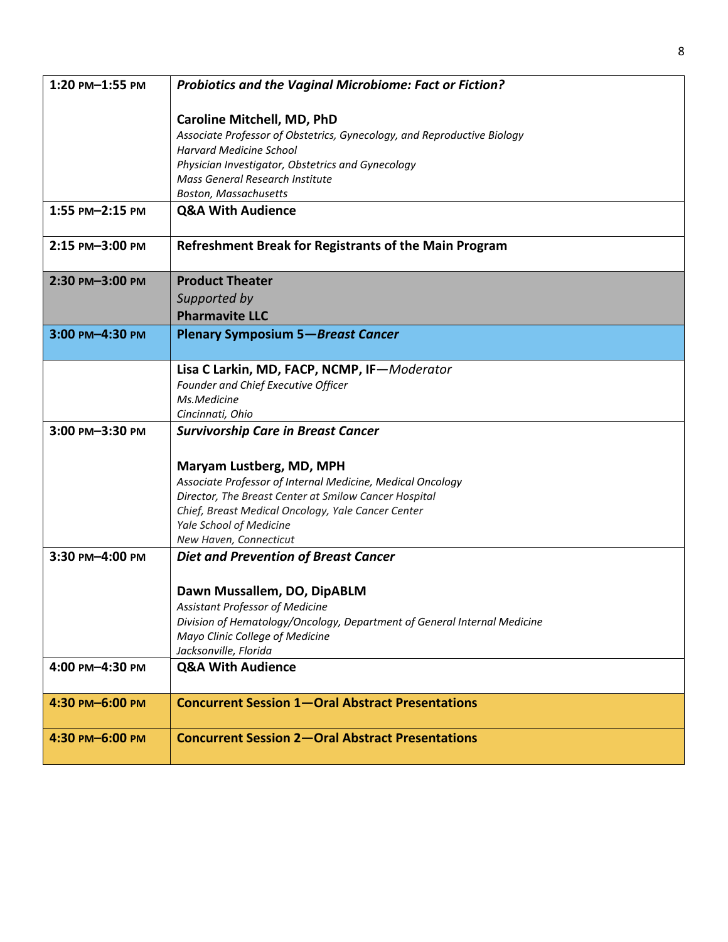| 1:20 PM-1:55 PM | <b>Probiotics and the Vaginal Microbiome: Fact or Fiction?</b>                                            |
|-----------------|-----------------------------------------------------------------------------------------------------------|
|                 |                                                                                                           |
|                 | <b>Caroline Mitchell, MD, PhD</b>                                                                         |
|                 | Associate Professor of Obstetrics, Gynecology, and Reproductive Biology<br><b>Harvard Medicine School</b> |
|                 | Physician Investigator, Obstetrics and Gynecology                                                         |
|                 | Mass General Research Institute                                                                           |
|                 | Boston, Massachusetts                                                                                     |
| 1:55 PM-2:15 PM | <b>Q&amp;A With Audience</b>                                                                              |
|                 |                                                                                                           |
| 2:15 PM-3:00 PM | Refreshment Break for Registrants of the Main Program                                                     |
| 2:30 PM-3:00 PM | <b>Product Theater</b>                                                                                    |
|                 | Supported by                                                                                              |
|                 | <b>Pharmavite LLC</b>                                                                                     |
| 3:00 PM-4:30 PM | <b>Plenary Symposium 5-Breast Cancer</b>                                                                  |
|                 |                                                                                                           |
|                 | Lisa C Larkin, MD, FACP, NCMP, IF-Moderator                                                               |
|                 | Founder and Chief Executive Officer                                                                       |
|                 | Ms.Medicine                                                                                               |
|                 | Cincinnati, Ohio                                                                                          |
| 3:00 PM-3:30 PM | <b>Survivorship Care in Breast Cancer</b>                                                                 |
|                 |                                                                                                           |
|                 | Maryam Lustberg, MD, MPH                                                                                  |
|                 | Associate Professor of Internal Medicine, Medical Oncology                                                |
|                 | Director, The Breast Center at Smilow Cancer Hospital                                                     |
|                 | Chief, Breast Medical Oncology, Yale Cancer Center<br>Yale School of Medicine                             |
|                 | New Haven, Connecticut                                                                                    |
| 3:30 PM-4:00 PM | <b>Diet and Prevention of Breast Cancer</b>                                                               |
|                 |                                                                                                           |
|                 | Dawn Mussallem, DO, DipABLM                                                                               |
|                 | Assistant Professor of Medicine                                                                           |
|                 | Division of Hematology/Oncology, Department of General Internal Medicine                                  |
|                 | Mayo Clinic College of Medicine                                                                           |
|                 | Jacksonville, Florida                                                                                     |
| 4:00 PM-4:30 PM | <b>Q&amp;A With Audience</b>                                                                              |
| 4:30 PM-6:00 PM | <b>Concurrent Session 1-Oral Abstract Presentations</b>                                                   |
| 4:30 PM-6:00 PM | <b>Concurrent Session 2-Oral Abstract Presentations</b>                                                   |
|                 |                                                                                                           |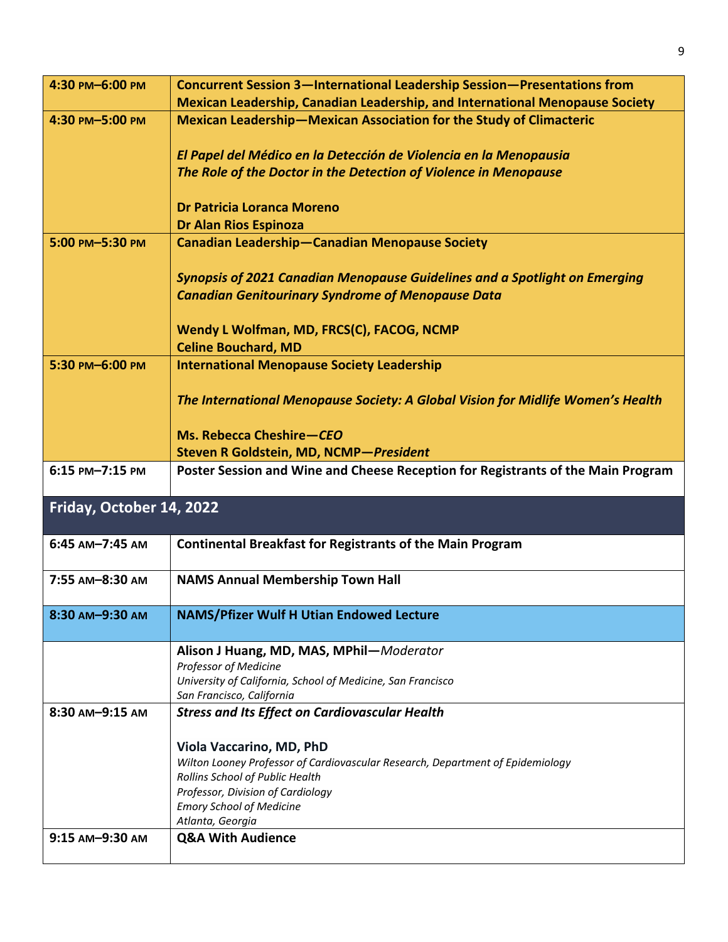| 4:30 PM-6:00 PM          | <b>Concurrent Session 3-International Leadership Session-Presentations from</b>      |
|--------------------------|--------------------------------------------------------------------------------------|
|                          | <b>Mexican Leadership, Canadian Leadership, and International Menopause Society</b>  |
|                          |                                                                                      |
| 4:30 PM-5:00 PM          | Mexican Leadership-Mexican Association for the Study of Climacteric                  |
|                          |                                                                                      |
|                          | El Papel del Médico en la Detección de Violencia en la Menopausia                    |
|                          | The Role of the Doctor in the Detection of Violence in Menopause                     |
|                          |                                                                                      |
|                          | Dr Patricia Loranca Moreno                                                           |
|                          | <b>Dr Alan Rios Espinoza</b>                                                         |
| 5:00 PM-5:30 PM          | <b>Canadian Leadership-Canadian Menopause Society</b>                                |
|                          |                                                                                      |
|                          | <b>Synopsis of 2021 Canadian Menopause Guidelines and a Spotlight on Emerging</b>    |
|                          | <b>Canadian Genitourinary Syndrome of Menopause Data</b>                             |
|                          |                                                                                      |
|                          | Wendy L Wolfman, MD, FRCS(C), FACOG, NCMP                                            |
|                          |                                                                                      |
|                          | <b>Celine Bouchard, MD</b>                                                           |
| 5:30 PM-6:00 PM          | <b>International Menopause Society Leadership</b>                                    |
|                          |                                                                                      |
|                          | The International Menopause Society: A Global Vision for Midlife Women's Health      |
|                          |                                                                                      |
|                          | Ms. Rebecca Cheshire-CEO                                                             |
|                          | Steven R Goldstein, MD, NCMP-President                                               |
| 6:15 PM-7:15 PM          | Poster Session and Wine and Cheese Reception for Registrants of the Main Program     |
|                          |                                                                                      |
| Friday, October 14, 2022 |                                                                                      |
|                          |                                                                                      |
| 6:45 AM-7:45 AM          | <b>Continental Breakfast for Registrants of the Main Program</b>                     |
|                          |                                                                                      |
| 7:55 AM-8:30 AM          | <b>NAMS Annual Membership Town Hall</b>                                              |
|                          |                                                                                      |
|                          |                                                                                      |
| 8:30 AM-9:30 AM          | <b>NAMS/Pfizer Wulf H Utian Endowed Lecture</b>                                      |
|                          |                                                                                      |
|                          | Alison J Huang, MD, MAS, MPhil-Moderator                                             |
|                          | Professor of Medicine<br>University of California, School of Medicine, San Francisco |
|                          | San Francisco, California                                                            |
| 8:30 AM-9:15 AM          | <b>Stress and Its Effect on Cardiovascular Health</b>                                |
|                          |                                                                                      |
|                          | Viola Vaccarino, MD, PhD                                                             |
|                          | Wilton Looney Professor of Cardiovascular Research, Department of Epidemiology       |
|                          | Rollins School of Public Health                                                      |
|                          | Professor, Division of Cardiology                                                    |
|                          | <b>Emory School of Medicine</b>                                                      |
|                          | Atlanta, Georgia                                                                     |
| 9:15 AM-9:30 AM          | <b>Q&amp;A With Audience</b>                                                         |
|                          |                                                                                      |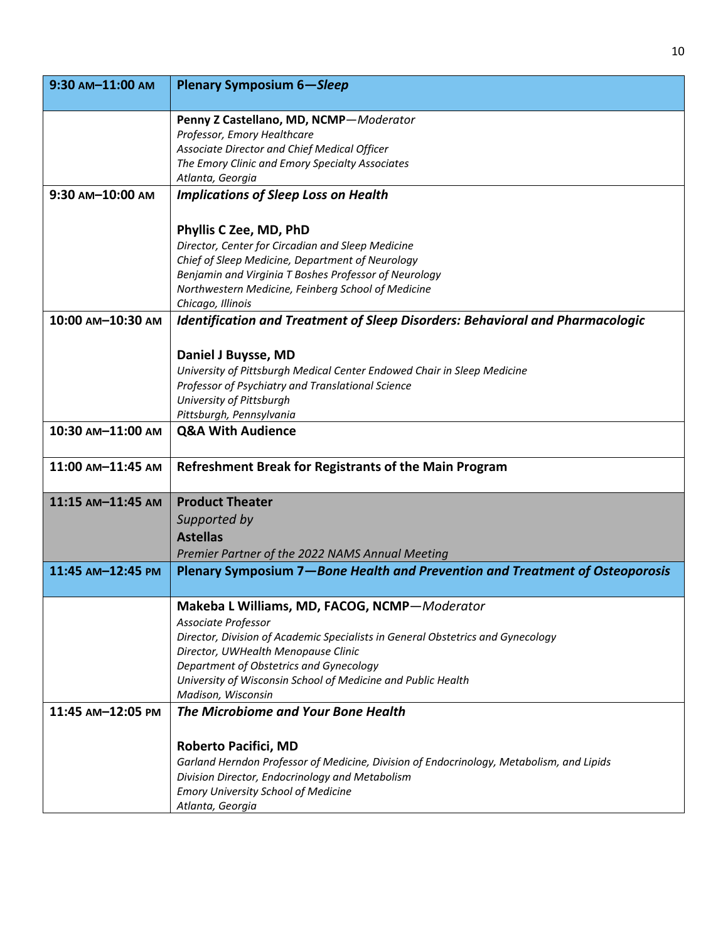| 9:30 AM-11:00 AM  | <b>Plenary Symposium 6-Sleep</b>                                                                        |
|-------------------|---------------------------------------------------------------------------------------------------------|
|                   | Penny Z Castellano, MD, NCMP-Moderator                                                                  |
|                   | Professor, Emory Healthcare                                                                             |
|                   | Associate Director and Chief Medical Officer                                                            |
|                   | The Emory Clinic and Emory Specialty Associates                                                         |
|                   | Atlanta, Georgia                                                                                        |
| 9:30 AM-10:00 AM  | <b>Implications of Sleep Loss on Health</b>                                                             |
|                   |                                                                                                         |
|                   | Phyllis C Zee, MD, PhD                                                                                  |
|                   | Director, Center for Circadian and Sleep Medicine                                                       |
|                   | Chief of Sleep Medicine, Department of Neurology                                                        |
|                   | Benjamin and Virginia T Boshes Professor of Neurology                                                   |
|                   | Northwestern Medicine, Feinberg School of Medicine                                                      |
| 10:00 AM-10:30 AM | Chicago, Illinois<br>Identification and Treatment of Sleep Disorders: Behavioral and Pharmacologic      |
|                   |                                                                                                         |
|                   |                                                                                                         |
|                   | Daniel J Buysse, MD                                                                                     |
|                   | University of Pittsburgh Medical Center Endowed Chair in Sleep Medicine                                 |
|                   | Professor of Psychiatry and Translational Science<br>University of Pittsburgh                           |
|                   | Pittsburgh, Pennsylvania                                                                                |
| 10:30 AM-11:00 AM | <b>Q&amp;A With Audience</b>                                                                            |
|                   |                                                                                                         |
| 11:00 AM-11:45 AM | Refreshment Break for Registrants of the Main Program                                                   |
| 11:15 AM-11:45 AM | <b>Product Theater</b>                                                                                  |
|                   | Supported by                                                                                            |
|                   | <b>Astellas</b>                                                                                         |
|                   | Premier Partner of the 2022 NAMS Annual Meeting                                                         |
| 11:45 AM-12:45 PM | Plenary Symposium 7-Bone Health and Prevention and Treatment of Osteoporosis                            |
|                   |                                                                                                         |
|                   | Makeba L Williams, MD, FACOG, NCMP-Moderator                                                            |
|                   | Associate Professor                                                                                     |
|                   | Director, Division of Academic Specialists in General Obstetrics and Gynecology                         |
|                   | Director, UWHealth Menopause Clinic                                                                     |
|                   | Department of Obstetrics and Gynecology<br>University of Wisconsin School of Medicine and Public Health |
|                   | Madison, Wisconsin                                                                                      |
| 11:45 AM-12:05 PM | The Microbiome and Your Bone Health                                                                     |
|                   |                                                                                                         |
|                   | <b>Roberto Pacifici, MD</b>                                                                             |
|                   | Garland Herndon Professor of Medicine, Division of Endocrinology, Metabolism, and Lipids                |
|                   | Division Director, Endocrinology and Metabolism                                                         |
|                   | <b>Emory University School of Medicine</b>                                                              |
|                   | Atlanta, Georgia                                                                                        |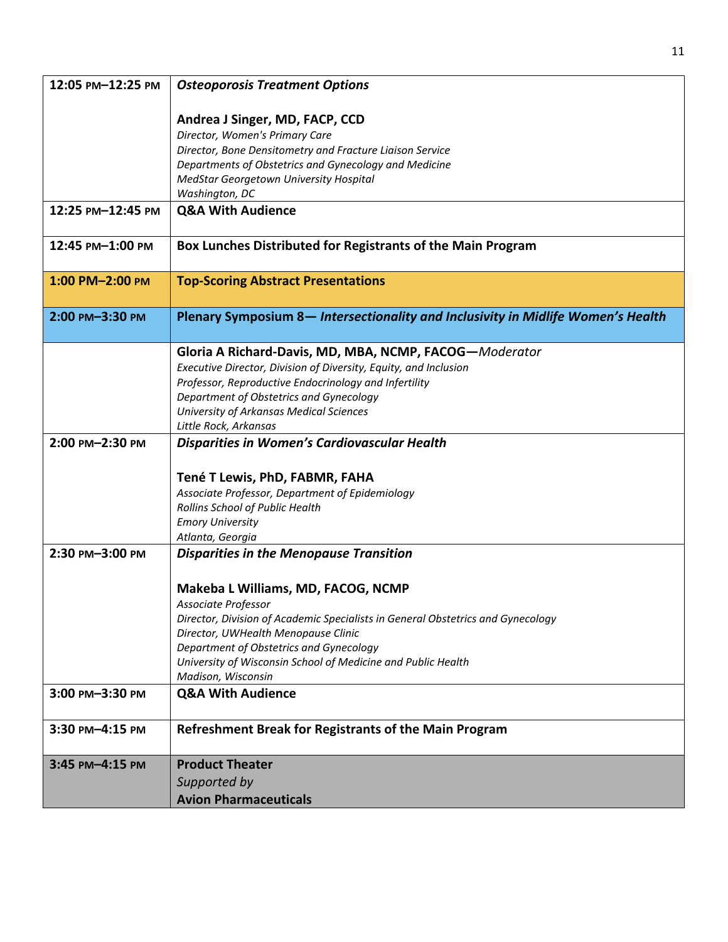| Andrea J Singer, MD, FACP, CCD<br>Director, Women's Primary Care<br>Director, Bone Densitometry and Fracture Liaison Service<br>Departments of Obstetrics and Gynecology and Medicine<br>MedStar Georgetown University Hospital<br>Washington, DC<br><b>Q&amp;A With Audience</b><br>12:25 PM-12:45 PM<br>Box Lunches Distributed for Registrants of the Main Program<br>12:45 PM-1:00 PM<br>1:00 PM-2:00 PM<br><b>Top-Scoring Abstract Presentations</b><br>Plenary Symposium 8- Intersectionality and Inclusivity in Midlife Women's Health<br>2:00 PM-3:30 PM<br>Gloria A Richard-Davis, MD, MBA, NCMP, FACOG-Moderator<br>Executive Director, Division of Diversity, Equity, and Inclusion<br>Professor, Reproductive Endocrinology and Infertility<br>Department of Obstetrics and Gynecology<br>University of Arkansas Medical Sciences<br>Little Rock, Arkansas<br>Disparities in Women's Cardiovascular Health<br>2:00 PM-2:30 PM<br>Tené T Lewis, PhD, FABMR, FAHA<br>Associate Professor, Department of Epidemiology<br>Rollins School of Public Health<br><b>Emory University</b><br>Atlanta, Georgia<br>2:30 PM-3:00 PM<br><b>Disparities in the Menopause Transition</b><br>Makeba L Williams, MD, FACOG, NCMP<br>Associate Professor |
|----------------------------------------------------------------------------------------------------------------------------------------------------------------------------------------------------------------------------------------------------------------------------------------------------------------------------------------------------------------------------------------------------------------------------------------------------------------------------------------------------------------------------------------------------------------------------------------------------------------------------------------------------------------------------------------------------------------------------------------------------------------------------------------------------------------------------------------------------------------------------------------------------------------------------------------------------------------------------------------------------------------------------------------------------------------------------------------------------------------------------------------------------------------------------------------------------------------------------------------------------|
|                                                                                                                                                                                                                                                                                                                                                                                                                                                                                                                                                                                                                                                                                                                                                                                                                                                                                                                                                                                                                                                                                                                                                                                                                                                    |
|                                                                                                                                                                                                                                                                                                                                                                                                                                                                                                                                                                                                                                                                                                                                                                                                                                                                                                                                                                                                                                                                                                                                                                                                                                                    |
|                                                                                                                                                                                                                                                                                                                                                                                                                                                                                                                                                                                                                                                                                                                                                                                                                                                                                                                                                                                                                                                                                                                                                                                                                                                    |
|                                                                                                                                                                                                                                                                                                                                                                                                                                                                                                                                                                                                                                                                                                                                                                                                                                                                                                                                                                                                                                                                                                                                                                                                                                                    |
|                                                                                                                                                                                                                                                                                                                                                                                                                                                                                                                                                                                                                                                                                                                                                                                                                                                                                                                                                                                                                                                                                                                                                                                                                                                    |
|                                                                                                                                                                                                                                                                                                                                                                                                                                                                                                                                                                                                                                                                                                                                                                                                                                                                                                                                                                                                                                                                                                                                                                                                                                                    |
|                                                                                                                                                                                                                                                                                                                                                                                                                                                                                                                                                                                                                                                                                                                                                                                                                                                                                                                                                                                                                                                                                                                                                                                                                                                    |
|                                                                                                                                                                                                                                                                                                                                                                                                                                                                                                                                                                                                                                                                                                                                                                                                                                                                                                                                                                                                                                                                                                                                                                                                                                                    |
|                                                                                                                                                                                                                                                                                                                                                                                                                                                                                                                                                                                                                                                                                                                                                                                                                                                                                                                                                                                                                                                                                                                                                                                                                                                    |
|                                                                                                                                                                                                                                                                                                                                                                                                                                                                                                                                                                                                                                                                                                                                                                                                                                                                                                                                                                                                                                                                                                                                                                                                                                                    |
|                                                                                                                                                                                                                                                                                                                                                                                                                                                                                                                                                                                                                                                                                                                                                                                                                                                                                                                                                                                                                                                                                                                                                                                                                                                    |
|                                                                                                                                                                                                                                                                                                                                                                                                                                                                                                                                                                                                                                                                                                                                                                                                                                                                                                                                                                                                                                                                                                                                                                                                                                                    |
|                                                                                                                                                                                                                                                                                                                                                                                                                                                                                                                                                                                                                                                                                                                                                                                                                                                                                                                                                                                                                                                                                                                                                                                                                                                    |
|                                                                                                                                                                                                                                                                                                                                                                                                                                                                                                                                                                                                                                                                                                                                                                                                                                                                                                                                                                                                                                                                                                                                                                                                                                                    |
|                                                                                                                                                                                                                                                                                                                                                                                                                                                                                                                                                                                                                                                                                                                                                                                                                                                                                                                                                                                                                                                                                                                                                                                                                                                    |
|                                                                                                                                                                                                                                                                                                                                                                                                                                                                                                                                                                                                                                                                                                                                                                                                                                                                                                                                                                                                                                                                                                                                                                                                                                                    |
|                                                                                                                                                                                                                                                                                                                                                                                                                                                                                                                                                                                                                                                                                                                                                                                                                                                                                                                                                                                                                                                                                                                                                                                                                                                    |
|                                                                                                                                                                                                                                                                                                                                                                                                                                                                                                                                                                                                                                                                                                                                                                                                                                                                                                                                                                                                                                                                                                                                                                                                                                                    |
|                                                                                                                                                                                                                                                                                                                                                                                                                                                                                                                                                                                                                                                                                                                                                                                                                                                                                                                                                                                                                                                                                                                                                                                                                                                    |
|                                                                                                                                                                                                                                                                                                                                                                                                                                                                                                                                                                                                                                                                                                                                                                                                                                                                                                                                                                                                                                                                                                                                                                                                                                                    |
|                                                                                                                                                                                                                                                                                                                                                                                                                                                                                                                                                                                                                                                                                                                                                                                                                                                                                                                                                                                                                                                                                                                                                                                                                                                    |
|                                                                                                                                                                                                                                                                                                                                                                                                                                                                                                                                                                                                                                                                                                                                                                                                                                                                                                                                                                                                                                                                                                                                                                                                                                                    |
|                                                                                                                                                                                                                                                                                                                                                                                                                                                                                                                                                                                                                                                                                                                                                                                                                                                                                                                                                                                                                                                                                                                                                                                                                                                    |
|                                                                                                                                                                                                                                                                                                                                                                                                                                                                                                                                                                                                                                                                                                                                                                                                                                                                                                                                                                                                                                                                                                                                                                                                                                                    |
|                                                                                                                                                                                                                                                                                                                                                                                                                                                                                                                                                                                                                                                                                                                                                                                                                                                                                                                                                                                                                                                                                                                                                                                                                                                    |
|                                                                                                                                                                                                                                                                                                                                                                                                                                                                                                                                                                                                                                                                                                                                                                                                                                                                                                                                                                                                                                                                                                                                                                                                                                                    |
| Director, Division of Academic Specialists in General Obstetrics and Gynecology<br>Director, UWHealth Menopause Clinic                                                                                                                                                                                                                                                                                                                                                                                                                                                                                                                                                                                                                                                                                                                                                                                                                                                                                                                                                                                                                                                                                                                             |
| Department of Obstetrics and Gynecology                                                                                                                                                                                                                                                                                                                                                                                                                                                                                                                                                                                                                                                                                                                                                                                                                                                                                                                                                                                                                                                                                                                                                                                                            |
| University of Wisconsin School of Medicine and Public Health                                                                                                                                                                                                                                                                                                                                                                                                                                                                                                                                                                                                                                                                                                                                                                                                                                                                                                                                                                                                                                                                                                                                                                                       |
| Madison, Wisconsin                                                                                                                                                                                                                                                                                                                                                                                                                                                                                                                                                                                                                                                                                                                                                                                                                                                                                                                                                                                                                                                                                                                                                                                                                                 |
| 3:00 PM-3:30 PM<br><b>Q&amp;A With Audience</b>                                                                                                                                                                                                                                                                                                                                                                                                                                                                                                                                                                                                                                                                                                                                                                                                                                                                                                                                                                                                                                                                                                                                                                                                    |
| Refreshment Break for Registrants of the Main Program<br>3:30 PM-4:15 PM                                                                                                                                                                                                                                                                                                                                                                                                                                                                                                                                                                                                                                                                                                                                                                                                                                                                                                                                                                                                                                                                                                                                                                           |
| <b>Product Theater</b><br>3:45 PM-4:15 PM                                                                                                                                                                                                                                                                                                                                                                                                                                                                                                                                                                                                                                                                                                                                                                                                                                                                                                                                                                                                                                                                                                                                                                                                          |
| Supported by                                                                                                                                                                                                                                                                                                                                                                                                                                                                                                                                                                                                                                                                                                                                                                                                                                                                                                                                                                                                                                                                                                                                                                                                                                       |
| <b>Avion Pharmaceuticals</b>                                                                                                                                                                                                                                                                                                                                                                                                                                                                                                                                                                                                                                                                                                                                                                                                                                                                                                                                                                                                                                                                                                                                                                                                                       |

11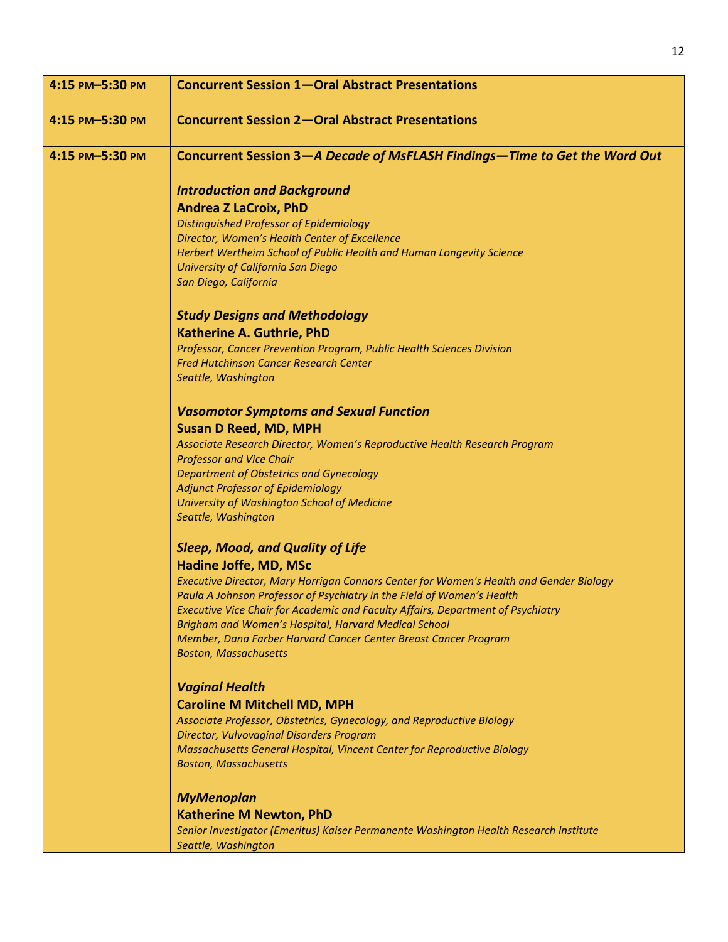| 4:15 PM-5:30 PM | <b>Concurrent Session 1-Oral Abstract Presentations</b>                                                                                                   |
|-----------------|-----------------------------------------------------------------------------------------------------------------------------------------------------------|
| 4:15 PM-5:30 PM | <b>Concurrent Session 2-Oral Abstract Presentations</b>                                                                                                   |
| 4:15 PM-5:30 PM | Concurrent Session 3-A Decade of MsFLASH Findings-Time to Get the Word Out                                                                                |
|                 | <b>Introduction and Background</b>                                                                                                                        |
|                 | <b>Andrea Z LaCroix, PhD</b>                                                                                                                              |
|                 | <b>Distinguished Professor of Epidemiology</b>                                                                                                            |
|                 | Director, Women's Health Center of Excellence                                                                                                             |
|                 | Herbert Wertheim School of Public Health and Human Longevity Science                                                                                      |
|                 | University of California San Diego<br>San Diego, California                                                                                               |
|                 |                                                                                                                                                           |
|                 | <b>Study Designs and Methodology</b>                                                                                                                      |
|                 | <b>Katherine A. Guthrie, PhD</b>                                                                                                                          |
|                 | Professor, Cancer Prevention Program, Public Health Sciences Division                                                                                     |
|                 | <b>Fred Hutchinson Cancer Research Center</b>                                                                                                             |
|                 | Seattle, Washington                                                                                                                                       |
|                 | <b>Vasomotor Symptoms and Sexual Function</b>                                                                                                             |
|                 | <b>Susan D Reed, MD, MPH</b>                                                                                                                              |
|                 | Associate Research Director, Women's Reproductive Health Research Program                                                                                 |
|                 | <b>Professor and Vice Chair</b>                                                                                                                           |
|                 | <b>Department of Obstetrics and Gynecology</b><br><b>Adjunct Professor of Epidemiology</b>                                                                |
|                 | University of Washington School of Medicine                                                                                                               |
|                 | Seattle, Washington                                                                                                                                       |
|                 | <b>Sleep, Mood, and Quality of Life</b>                                                                                                                   |
|                 | Hadine Joffe, MD, MSc                                                                                                                                     |
|                 | Executive Director, Mary Horrigan Connors Center for Women's Health and Gender Biology                                                                    |
|                 | Paula A Johnson Professor of Psychiatry in the Field of Women's Health<br>Executive Vice Chair for Academic and Faculty Affairs, Department of Psychiatry |
|                 | Brigham and Women's Hospital, Harvard Medical School                                                                                                      |
|                 | Member, Dana Farber Harvard Cancer Center Breast Cancer Program                                                                                           |
|                 | <b>Boston, Massachusetts</b>                                                                                                                              |
|                 | <b>Vaginal Health</b>                                                                                                                                     |
|                 | <b>Caroline M Mitchell MD, MPH</b>                                                                                                                        |
|                 | Associate Professor, Obstetrics, Gynecology, and Reproductive Biology                                                                                     |
|                 | Director, Vulvovaginal Disorders Program                                                                                                                  |
|                 | Massachusetts General Hospital, Vincent Center for Reproductive Biology<br><b>Boston, Massachusetts</b>                                                   |
|                 | <b>MyMenoplan</b>                                                                                                                                         |
|                 | <b>Katherine M Newton, PhD</b>                                                                                                                            |
|                 | Senior Investigator (Emeritus) Kaiser Permanente Washington Health Research Institute                                                                     |
|                 | Seattle, Washington                                                                                                                                       |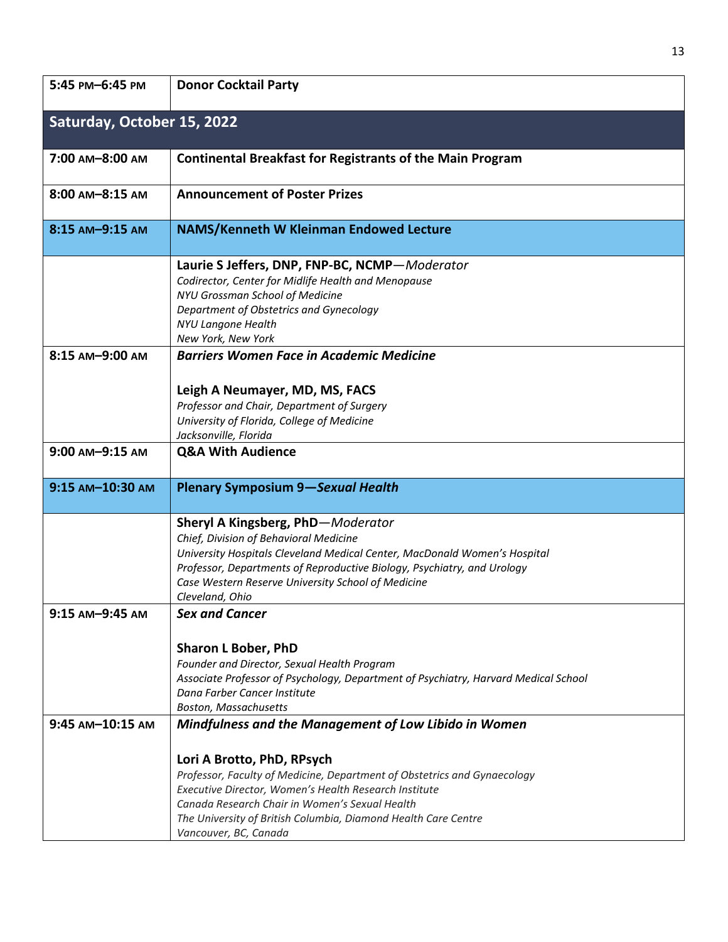| 5:45 PM-6:45 PM            | <b>Donor Cocktail Party</b>                                                         |
|----------------------------|-------------------------------------------------------------------------------------|
| Saturday, October 15, 2022 |                                                                                     |
| 7:00 AM-8:00 AM            | <b>Continental Breakfast for Registrants of the Main Program</b>                    |
| $8:00$ AM $-8:15$ AM       | <b>Announcement of Poster Prizes</b>                                                |
| 8:15 AM-9:15 AM            | <b>NAMS/Kenneth W Kleinman Endowed Lecture</b>                                      |
|                            | Laurie S Jeffers, DNP, FNP-BC, NCMP-Moderator                                       |
|                            | Codirector, Center for Midlife Health and Menopause                                 |
|                            | NYU Grossman School of Medicine                                                     |
|                            | Department of Obstetrics and Gynecology                                             |
|                            | <b>NYU Langone Health</b>                                                           |
|                            | New York, New York                                                                  |
| 8:15 AM-9:00 AM            | <b>Barriers Women Face in Academic Medicine</b>                                     |
|                            |                                                                                     |
|                            | Leigh A Neumayer, MD, MS, FACS                                                      |
|                            | Professor and Chair, Department of Surgery                                          |
|                            | University of Florida, College of Medicine<br>Jacksonville, Florida                 |
| 9:00 AM-9:15 AM            | <b>Q&amp;A With Audience</b>                                                        |
|                            |                                                                                     |
| 9:15 AM-10:30 AM           | <b>Plenary Symposium 9-Sexual Health</b>                                            |
|                            |                                                                                     |
|                            | Sheryl A Kingsberg, PhD-Moderator                                                   |
|                            | Chief, Division of Behavioral Medicine                                              |
|                            | University Hospitals Cleveland Medical Center, MacDonald Women's Hospital           |
|                            | Professor, Departments of Reproductive Biology, Psychiatry, and Urology             |
|                            | Case Western Reserve University School of Medicine                                  |
|                            | Cleveland, Ohio                                                                     |
| 9:15 AM-9:45 AM            | <b>Sex and Cancer</b>                                                               |
|                            | <b>Sharon L Bober, PhD</b>                                                          |
|                            | Founder and Director, Sexual Health Program                                         |
|                            | Associate Professor of Psychology, Department of Psychiatry, Harvard Medical School |
|                            | Dana Farber Cancer Institute                                                        |
|                            | Boston, Massachusetts                                                               |
| 9:45 AM-10:15 AM           | Mindfulness and the Management of Low Libido in Women                               |
|                            | Lori A Brotto, PhD, RPsych                                                          |
|                            | Professor, Faculty of Medicine, Department of Obstetrics and Gynaecology            |
|                            | Executive Director, Women's Health Research Institute                               |
|                            | Canada Research Chair in Women's Sexual Health                                      |
|                            | The University of British Columbia, Diamond Health Care Centre                      |
|                            | Vancouver, BC, Canada                                                               |